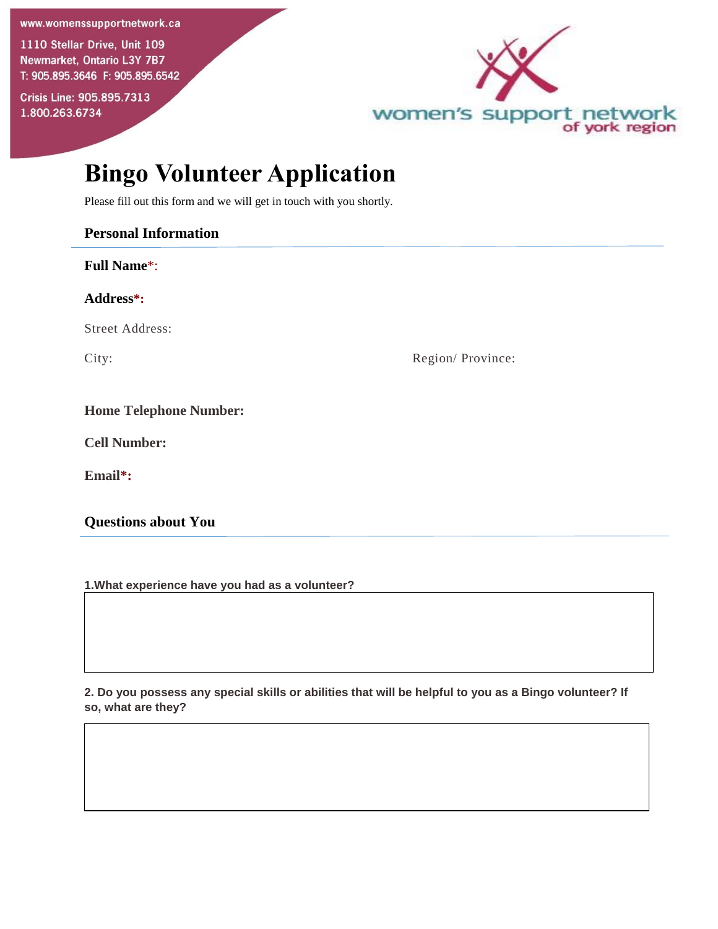www.womenssupportnetwork.ca

1110 Stellar Drive, Unit 109 Newmarket, Ontario L3Y 7B7 T: 905.895.3646 F: 905.895.6542

**Crisis Line: 905.895.7313** 1.800.263.6734



# **Bingo Volunteer Application**

Please fill out this form and we will get in touch with you shortly.

#### **Personal Information**

**Full Name**\*:

**Address\*:**

Street Address:

City: Region/ Province:

### **Home Telephone Number:**

**Cell Number:**

**Email\*:**

**Questions about You**

**1.What experience have you had as a volunteer?**

**2. Do you possess any special skills or abilities that will be helpful to you as a Bingo volunteer? If so, what are they?**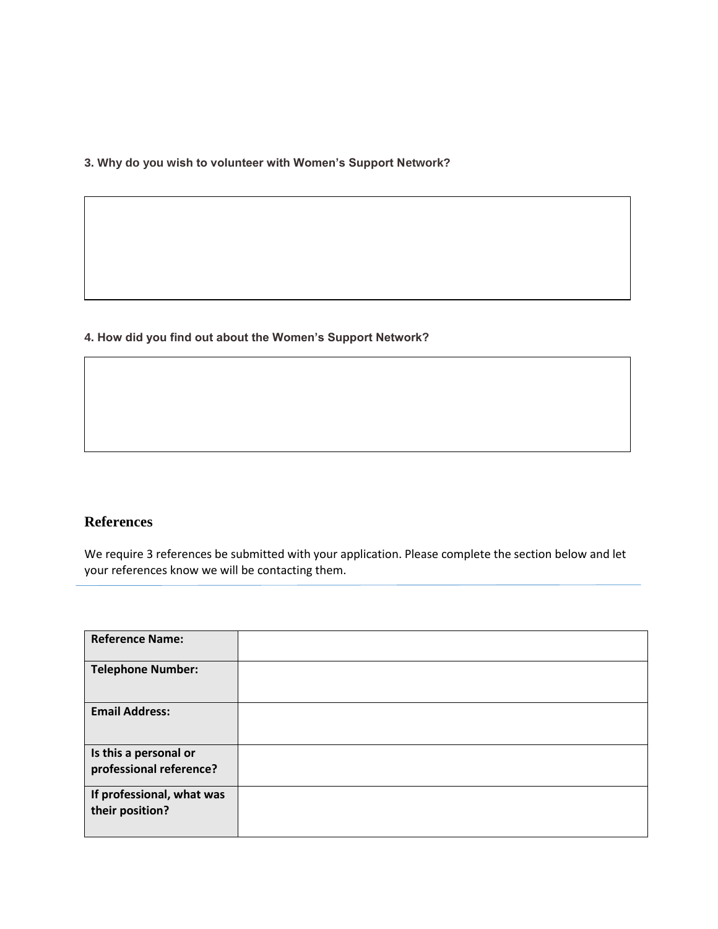**3. Why do you wish to volunteer with Women's Support Network?**

**4. How did you find out about the Women's Support Network?**

## **References**

We require 3 references be submitted with your application. Please complete the section below and let your references know we will be contacting them.

| <b>Reference Name:</b>                           |  |
|--------------------------------------------------|--|
| <b>Telephone Number:</b>                         |  |
| <b>Email Address:</b>                            |  |
| Is this a personal or<br>professional reference? |  |
| If professional, what was<br>their position?     |  |